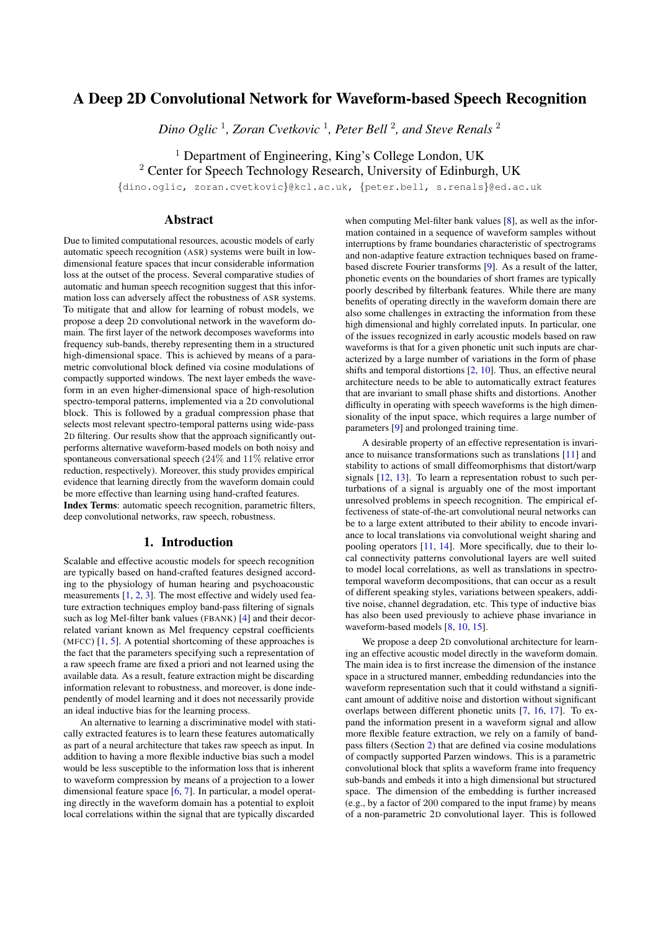# A Deep 2D Convolutional Network for Waveform-based Speech Recognition

*Dino Oglic* <sup>1</sup> *, Zoran Cvetkovic* <sup>1</sup> *, Peter Bell* <sup>2</sup> *, and Steve Renals* <sup>2</sup>

<sup>1</sup> Department of Engineering, King's College London, UK

<sup>2</sup> Center for Speech Technology Research, University of Edinburgh, UK

{dino.oglic, zoran.cvetkovic}@kcl.ac.uk, {peter.bell, s.renals}@ed.ac.uk

## Abstract

Due to limited computational resources, acoustic models of early automatic speech recognition (ASR) systems were built in lowdimensional feature spaces that incur considerable information loss at the outset of the process. Several comparative studies of automatic and human speech recognition suggest that this information loss can adversely affect the robustness of ASR systems. To mitigate that and allow for learning of robust models, we propose a deep 2D convolutional network in the waveform domain. The first layer of the network decomposes waveforms into frequency sub-bands, thereby representing them in a structured high-dimensional space. This is achieved by means of a parametric convolutional block defined via cosine modulations of compactly supported windows. The next layer embeds the waveform in an even higher-dimensional space of high-resolution spectro-temporal patterns, implemented via a 2D convolutional block. This is followed by a gradual compression phase that selects most relevant spectro-temporal patterns using wide-pass 2D filtering. Our results show that the approach significantly outperforms alternative waveform-based models on both noisy and spontaneous conversational speech  $(24\%$  and  $11\%$  relative error reduction, respectively). Moreover, this study provides empirical evidence that learning directly from the waveform domain could be more effective than learning using hand-crafted features. Index Terms: automatic speech recognition, parametric filters, deep convolutional networks, raw speech, robustness.

## 1. Introduction

Scalable and effective acoustic models for speech recognition are typically based on hand-crafted features designed according to the physiology of human hearing and psychoacoustic measurements [\[1,](#page-4-0) [2,](#page-4-1) [3\]](#page-4-2). The most effective and widely used feature extraction techniques employ band-pass filtering of signals such as log Mel-filter bank values (FBANK) [\[4\]](#page-4-3) and their decorrelated variant known as Mel frequency cepstral coefficients (MFCC) [\[1,](#page-4-0) [5\]](#page-4-4). A potential shortcoming of these approaches is the fact that the parameters specifying such a representation of a raw speech frame are fixed a priori and not learned using the available data. As a result, feature extraction might be discarding information relevant to robustness, and moreover, is done independently of model learning and it does not necessarily provide an ideal inductive bias for the learning process.

An alternative to learning a discriminative model with statically extracted features is to learn these features automatically as part of a neural architecture that takes raw speech as input. In addition to having a more flexible inductive bias such a model would be less susceptible to the information loss that is inherent to waveform compression by means of a projection to a lower dimensional feature space [\[6,](#page-4-5) [7\]](#page-4-6). In particular, a model operating directly in the waveform domain has a potential to exploit local correlations within the signal that are typically discarded

when computing Mel-filter bank values [\[8\]](#page-4-7), as well as the information contained in a sequence of waveform samples without interruptions by frame boundaries characteristic of spectrograms and non-adaptive feature extraction techniques based on framebased discrete Fourier transforms [\[9\]](#page-4-8). As a result of the latter, phonetic events on the boundaries of short frames are typically poorly described by filterbank features. While there are many benefits of operating directly in the waveform domain there are also some challenges in extracting the information from these high dimensional and highly correlated inputs. In particular, one of the issues recognized in early acoustic models based on raw waveforms is that for a given phonetic unit such inputs are characterized by a large number of variations in the form of phase shifts and temporal distortions [\[2,](#page-4-1) [10\]](#page-4-9). Thus, an effective neural architecture needs to be able to automatically extract features that are invariant to small phase shifts and distortions. Another difficulty in operating with speech waveforms is the high dimensionality of the input space, which requires a large number of parameters [\[9\]](#page-4-8) and prolonged training time.

A desirable property of an effective representation is invariance to nuisance transformations such as translations [\[11\]](#page-4-10) and stability to actions of small diffeomorphisms that distort/warp signals [\[12,](#page-4-11) [13\]](#page-4-12). To learn a representation robust to such perturbations of a signal is arguably one of the most important unresolved problems in speech recognition. The empirical effectiveness of state-of-the-art convolutional neural networks can be to a large extent attributed to their ability to encode invariance to local translations via convolutional weight sharing and pooling operators [\[11,](#page-4-10) [14\]](#page-4-13). More specifically, due to their local connectivity patterns convolutional layers are well suited to model local correlations, as well as translations in spectrotemporal waveform decompositions, that can occur as a result of different speaking styles, variations between speakers, additive noise, channel degradation, etc. This type of inductive bias has also been used previously to achieve phase invariance in waveform-based models [\[8,](#page-4-7) [10,](#page-4-9) [15\]](#page-4-14).

We propose a deep 2D convolutional architecture for learning an effective acoustic model directly in the waveform domain. The main idea is to first increase the dimension of the instance space in a structured manner, embedding redundancies into the waveform representation such that it could withstand a significant amount of additive noise and distortion without significant overlaps between different phonetic units [\[7,](#page-4-6) [16,](#page-4-15) [17\]](#page-4-16). To expand the information present in a waveform signal and allow more flexible feature extraction, we rely on a family of bandpass filters (Section [2\)](#page-1-0) that are defined via cosine modulations of compactly supported Parzen windows. This is a parametric convolutional block that splits a waveform frame into frequency sub-bands and embeds it into a high dimensional but structured space. The dimension of the embedding is further increased (e.g., by a factor of 200 compared to the input frame) by means of a non-parametric 2D convolutional layer. This is followed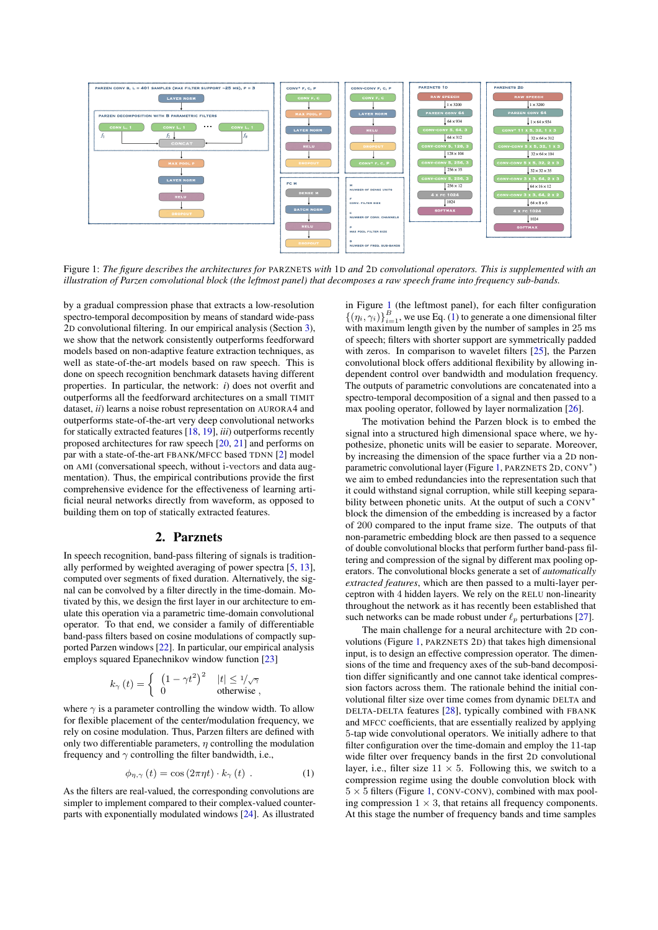<span id="page-1-1"></span>

Figure 1: *The figure describes the architectures for* PARZNETS *with* 1D *and* 2D *convolutional operators. This is supplemented with an illustration of Parzen convolutional block (the leftmost panel) that decomposes a raw speech frame into frequency sub-bands.*

by a gradual compression phase that extracts a low-resolution spectro-temporal decomposition by means of standard wide-pass 2D convolutional filtering. In our empirical analysis (Section [3\)](#page-2-0), we show that the network consistently outperforms feedforward models based on non-adaptive feature extraction techniques, as well as state-of-the-art models based on raw speech. This is done on speech recognition benchmark datasets having different properties. In particular, the network: *i*) does not overfit and outperforms all the feedforward architectures on a small TIMIT dataset, *ii*) learns a noise robust representation on AURORA4 and outperforms state-of-the-art very deep convolutional networks for statically extracted features [\[18,](#page-4-17) [19\]](#page-4-18), *iii*) outperforms recently proposed architectures for raw speech [\[20,](#page-4-19) [21\]](#page-4-20) and performs on par with a state-of-the-art FBANK/MFCC based TDNN [\[2\]](#page-4-1) model on AMI (conversational speech, without i-vectors and data augmentation). Thus, the empirical contributions provide the first comprehensive evidence for the effectiveness of learning artificial neural networks directly from waveform, as opposed to building them on top of statically extracted features.

## 2. Parznets

<span id="page-1-0"></span>In speech recognition, band-pass filtering of signals is traditionally performed by weighted averaging of power spectra [\[5,](#page-4-4) [13\]](#page-4-12), computed over segments of fixed duration. Alternatively, the signal can be convolved by a filter directly in the time-domain. Motivated by this, we design the first layer in our architecture to emulate this operation via a parametric time-domain convolutional operator. To that end, we consider a family of differentiable band-pass filters based on cosine modulations of compactly supported Parzen windows [\[22\]](#page-4-21). In particular, our empirical analysis employs squared Epanechnikov window function [\[23\]](#page-4-22)

$$
k_{\gamma}(t) = \begin{cases} (1 - \gamma t^2)^2 & |t| \le 1/\sqrt{\gamma} \\ 0 & \text{otherwise} \end{cases}
$$

where  $\gamma$  is a parameter controlling the window width. To allow for flexible placement of the center/modulation frequency, we rely on cosine modulation. Thus, Parzen filters are defined with only two differentiable parameters,  $\eta$  controlling the modulation frequency and  $\gamma$  controlling the filter bandwidth, i.e.,

$$
\phi_{\eta,\gamma}(t) = \cos(2\pi\eta t) \cdot k_{\gamma}(t) . \tag{1}
$$

As the filters are real-valued, the corresponding convolutions are simpler to implement compared to their complex-valued counterparts with exponentially modulated windows [\[24\]](#page-4-23). As illustrated in Figure [1](#page-1-1) (the leftmost panel), for each filter configuration  $\{(\eta_i, \gamma_i)\}_{i=1}^B$ , we use Eq. [\(1\)](#page-1-2) to generate a one dimensional filter with maximum length given by the number of samples in 25 ms of speech; filters with shorter support are symmetrically padded with zeros. In comparison to wavelet filters [\[25\]](#page-4-24), the Parzen convolutional block offers additional flexibility by allowing independent control over bandwidth and modulation frequency. The outputs of parametric convolutions are concatenated into a spectro-temporal decomposition of a signal and then passed to a max pooling operator, followed by layer normalization [\[26\]](#page-4-25).

The motivation behind the Parzen block is to embed the signal into a structured high dimensional space where, we hypothesize, phonetic units will be easier to separate. Moreover, by increasing the dimension of the space further via a 2D non-parametric convolutional layer (Figure [1,](#page-1-1) PARZNETS 2D, CONV<sup>\*</sup>) we aim to embed redundancies into the representation such that it could withstand signal corruption, while still keeping separability between phonetic units. At the output of such a CONV<sup>∗</sup> block the dimension of the embedding is increased by a factor of 200 compared to the input frame size. The outputs of that non-parametric embedding block are then passed to a sequence of double convolutional blocks that perform further band-pass filtering and compression of the signal by different max pooling operators. The convolutional blocks generate a set of *automatically extracted features*, which are then passed to a multi-layer perceptron with 4 hidden layers. We rely on the RELU non-linearity throughout the network as it has recently been established that such networks can be made robust under  $\ell_p$  perturbations [\[27\]](#page-4-26).

<span id="page-1-2"></span>The main challenge for a neural architecture with 2D convolutions (Figure [1,](#page-1-1) PARZNETS 2D) that takes high dimensional input, is to design an effective compression operator. The dimensions of the time and frequency axes of the sub-band decomposition differ significantly and one cannot take identical compression factors across them. The rationale behind the initial convolutional filter size over time comes from dynamic DELTA and DELTA-DELTA features [\[28\]](#page-4-27), typically combined with FBANK and MFCC coefficients, that are essentially realized by applying 5-tap wide convolutional operators. We initially adhere to that filter configuration over the time-domain and employ the 11-tap wide filter over frequency bands in the first 2D convolutional layer, i.e., filter size  $11 \times 5$ . Following this, we switch to a compression regime using the double convolution block with  $5 \times 5$  filters (Figure [1,](#page-1-1) CONV-CONV), combined with max pooling compression  $1 \times 3$ , that retains all frequency components. At this stage the number of frequency bands and time samples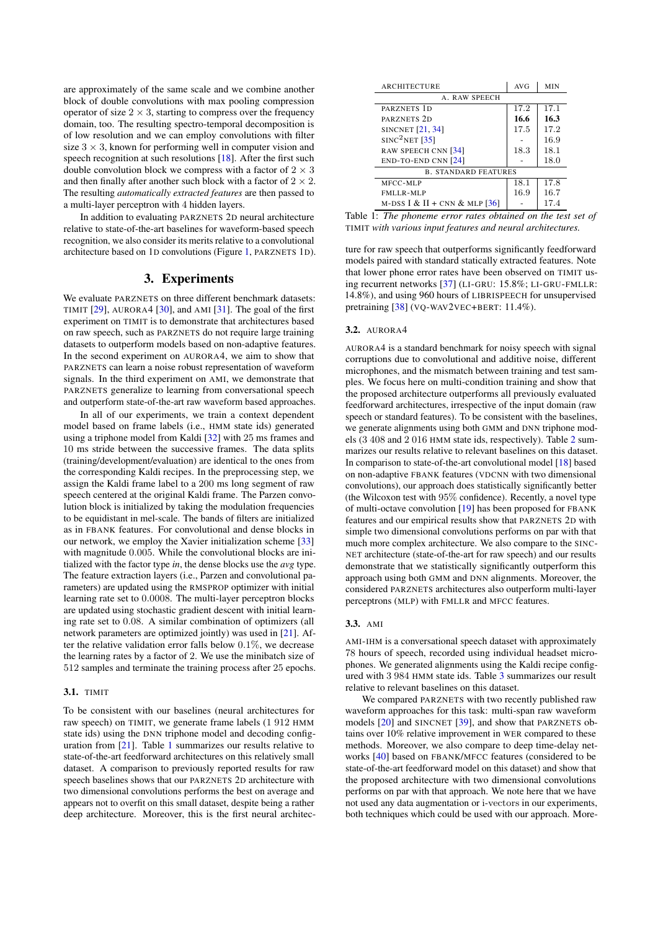are approximately of the same scale and we combine another block of double convolutions with max pooling compression operator of size  $2 \times 3$ , starting to compress over the frequency domain, too. The resulting spectro-temporal decomposition is of low resolution and we can employ convolutions with filter size  $3 \times 3$ , known for performing well in computer vision and speech recognition at such resolutions [\[18\]](#page-4-17). After the first such double convolution block we compress with a factor of  $2 \times 3$ and then finally after another such block with a factor of  $2 \times 2$ . The resulting *automatically extracted features* are then passed to a multi-layer perceptron with 4 hidden layers.

In addition to evaluating PARZNETS 2D neural architecture relative to state-of-the-art baselines for waveform-based speech recognition, we also consider its merits relative to a convolutional architecture based on 1D convolutions (Figure [1,](#page-1-1) PARZNETS 1D).

## 3. Experiments

<span id="page-2-0"></span>We evaluate PARZNETS on three different benchmark datasets: TIMIT [\[29\]](#page-4-28), AURORA4 [\[30\]](#page-4-29), and AMI [\[31\]](#page-4-30). The goal of the first experiment on TIMIT is to demonstrate that architectures based on raw speech, such as PARZNETS do not require large training datasets to outperform models based on non-adaptive features. In the second experiment on AURORA4, we aim to show that PARZNETS can learn a noise robust representation of waveform signals. In the third experiment on AMI, we demonstrate that PARZNETS generalize to learning from conversational speech and outperform state-of-the-art raw waveform based approaches.

In all of our experiments, we train a context dependent model based on frame labels (i.e., HMM state ids) generated using a triphone model from Kaldi [\[32\]](#page-4-31) with 25 ms frames and 10 ms stride between the successive frames. The data splits (training/development/evaluation) are identical to the ones from the corresponding Kaldi recipes. In the preprocessing step, we assign the Kaldi frame label to a 200 ms long segment of raw speech centered at the original Kaldi frame. The Parzen convolution block is initialized by taking the modulation frequencies to be equidistant in mel-scale. The bands of filters are initialized as in FBANK features. For convolutional and dense blocks in our network, we employ the Xavier initialization scheme [\[33\]](#page-4-32) with magnitude 0.005. While the convolutional blocks are initialized with the factor type *in*, the dense blocks use the *avg* type. The feature extraction layers (i.e., Parzen and convolutional parameters) are updated using the RMSPROP optimizer with initial learning rate set to 0.0008. The multi-layer perceptron blocks are updated using stochastic gradient descent with initial learning rate set to 0.08. A similar combination of optimizers (all network parameters are optimized jointly) was used in [\[21\]](#page-4-20). After the relative validation error falls below 0.1%, we decrease the learning rates by a factor of 2. We use the minibatch size of 512 samples and terminate the training process after 25 epochs.

#### 3.1. TIMIT

To be consistent with our baselines (neural architectures for raw speech) on TIMIT, we generate frame labels (1 912 HMM state ids) using the DNN triphone model and decoding configuration from [\[21\]](#page-4-20). Table [1](#page-2-1) summarizes our results relative to state-of-the-art feedforward architectures on this relatively small dataset. A comparison to previously reported results for raw speech baselines shows that our PARZNETS 2D architecture with two dimensional convolutions performs the best on average and appears not to overfit on this small dataset, despite being a rather deep architecture. Moreover, this is the first neural architec-

<span id="page-2-1"></span>

| <b>ARCHITECTURE</b>             | <b>AVG</b> | <b>MIN</b> |  |  |  |  |  |
|---------------------------------|------------|------------|--|--|--|--|--|
| A. RAW SPEECH                   |            |            |  |  |  |  |  |
| PARZNETS 1D                     | 17.2       | 17.1       |  |  |  |  |  |
| PARZNETS 2D                     | 16.6       | 16.3       |  |  |  |  |  |
| <b>SINCNET</b> [21, 34]         | 17.5       | 17.2       |  |  |  |  |  |
| SINC <sup>2</sup> NET [35]      |            | 16.9       |  |  |  |  |  |
| RAW SPEECH CNN [34]             | 18.3       | 18.1       |  |  |  |  |  |
| $END-TO-END CNN [24]$           |            | 18.0       |  |  |  |  |  |
| <b>B. STANDARD FEATURES</b>     |            |            |  |  |  |  |  |
| MFCC-MLP                        | 18.1       | 17.8       |  |  |  |  |  |
| FMLLR-MLP                       | 16.9       | 16.7       |  |  |  |  |  |
| M-DSS I & II + CNN & MLP $[36]$ |            | 17.4       |  |  |  |  |  |

Table 1: *The phoneme error rates obtained on the test set of* TIMIT *with various input features and neural architectures.*

ture for raw speech that outperforms significantly feedforward models paired with standard statically extracted features. Note that lower phone error rates have been observed on TIMIT using recurrent networks [\[37\]](#page-4-36) (LI-GRU: 15.8%; LI-GRU-FMLLR: 14.8%), and using 960 hours of LIBRISPEECH for unsupervised pretraining [\[38\]](#page-4-37) (VQ-WAV2VEC+BERT: 11.4%).

#### 3.2. AURORA4

AURORA4 is a standard benchmark for noisy speech with signal corruptions due to convolutional and additive noise, different microphones, and the mismatch between training and test samples. We focus here on multi-condition training and show that the proposed architecture outperforms all previously evaluated feedforward architectures, irrespective of the input domain (raw speech or standard features). To be consistent with the baselines, we generate alignments using both GMM and DNN triphone models (3 408 and 2 016 HMM state ids, respectively). Table [2](#page-3-0) summarizes our results relative to relevant baselines on this dataset. In comparison to state-of-the-art convolutional model [\[18\]](#page-4-17) based on non-adaptive FBANK features (VDCNN with two dimensional convolutions), our approach does statistically significantly better (the Wilcoxon test with 95% confidence). Recently, a novel type of multi-octave convolution [\[19\]](#page-4-18) has been proposed for FBANK features and our empirical results show that PARZNETS 2D with simple two dimensional convolutions performs on par with that much more complex architecture. We also compare to the SINC-NET architecture (state-of-the-art for raw speech) and our results demonstrate that we statistically significantly outperform this approach using both GMM and DNN alignments. Moreover, the considered PARZNETS architectures also outperform multi-layer perceptrons (MLP) with FMLLR and MFCC features.

## 3.3. AMI

AMI-IHM is a conversational speech dataset with approximately 78 hours of speech, recorded using individual headset microphones. We generated alignments using the Kaldi recipe configured with 3 984 HMM state ids. Table [3](#page-3-1) summarizes our result relative to relevant baselines on this dataset.

We compared PARZNETS with two recently published raw waveform approaches for this task: multi-span raw waveform models [\[20\]](#page-4-19) and SINCNET [\[39\]](#page-4-38), and show that PARZNETS obtains over 10% relative improvement in WER compared to these methods. Moreover, we also compare to deep time-delay networks [\[40\]](#page-4-39) based on FBANK/MFCC features (considered to be state-of-the-art feedforward model on this dataset) and show that the proposed architecture with two dimensional convolutions performs on par with that approach. We note here that we have not used any data augmentation or i-vectors in our experiments, both techniques which could be used with our approach. More-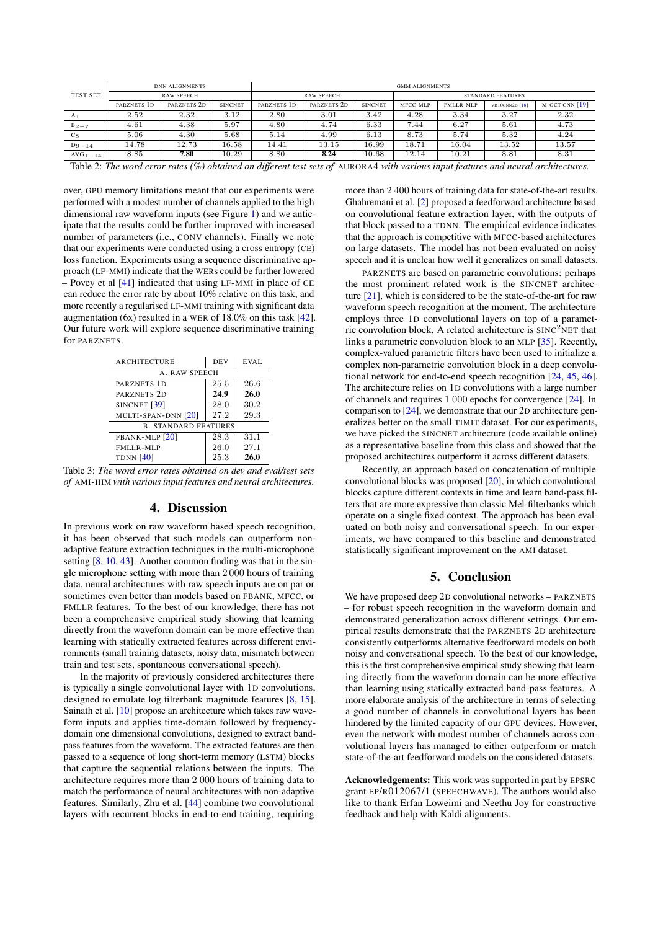<span id="page-3-0"></span>

|                 | <b>DNN ALIGNMENTS</b> |                        |                | <b>GMM ALIGNMENTS</b> |                        |                |                          |           |                |                    |
|-----------------|-----------------------|------------------------|----------------|-----------------------|------------------------|----------------|--------------------------|-----------|----------------|--------------------|
| <b>TEST SET</b> |                       | <b>RAW SPEECH</b>      |                |                       | <b>RAW SPEECH</b>      |                | <b>STANDARD FEATURES</b> |           |                |                    |
|                 | PARZNETS 1D           | PARZNETS <sub>2D</sub> | <b>SINCNET</b> | PARZNETS 1D           | PARZNETS <sub>2D</sub> | <b>SINCNET</b> | MFCC-MLP                 | FMLLR-MLP | VD10CNN2D [18] | $M-OCT$ CNN $[19]$ |
| A <sub>1</sub>  | 2.52                  | 2.32                   | 3.12           | 2.80                  | 3.01                   | 3.42           | 4.28                     | 3.34      | 3.27           | 2.32               |
| $B_{2-7}$       | 4.61                  | 4.38                   | 5.97           | 4.80                  | 4.74                   | 6.33           | 7.44                     | 6.27      | 5.61           | 4.73               |
| $c_8$           | 5.06                  | 4.30                   | 5.68           | 5.14                  | 4.99                   | 6.13           | 8.73                     | 5.74      | 5.32           | 4.24               |
| $D_{9-14}$      | 14.78                 | 12.73                  | 16.58          | 14.41                 | 13.15                  | 16.99          | 18.71                    | 16.04     | 13.52          | 13.57              |
| $AVG1 - 14$     | 8.85                  | 7.80                   | 10.29          | 8.80                  | 8.24                   | 10.68          | 12.14                    | 10.21     | 8.81           | 8.31               |

Table 2: *The word error rates (%) obtained on different test sets of* AURORA4 *with various input features and neural architectures.*

over, GPU memory limitations meant that our experiments were performed with a modest number of channels applied to the high dimensional raw waveform inputs (see Figure [1\)](#page-1-1) and we anticipate that the results could be further improved with increased number of parameters (i.e., CONV channels). Finally we note that our experiments were conducted using a cross entropy (CE) loss function. Experiments using a sequence discriminative approach (LF-MMI) indicate that the WERs could be further lowered – Povey et al [\[41\]](#page-4-40) indicated that using LF-MMI in place of CE can reduce the error rate by about 10% relative on this task, and more recently a regularised LF-MMI training with significant data augmentation (6x) resulted in a WER of 18.0% on this task [\[42\]](#page-4-41). Our future work will explore sequence discriminative training for PARZNETS.

<span id="page-3-1"></span>

| <b>ARCHITECTURE</b>         | <b>DEV</b> | EVAL. |  |  |  |  |
|-----------------------------|------------|-------|--|--|--|--|
| A. RAW SPEECH               |            |       |  |  |  |  |
| PARZNETS 1D                 | 25.5       | 26.6  |  |  |  |  |
| PARZNETS <sub>2D</sub>      | 24.9       | 26.0  |  |  |  |  |
| SINCNET <sup>[39]</sup>     | 28.0       | 30.2  |  |  |  |  |
| MULTI-SPAN-DNN [20]         | 27.2       | 29.3  |  |  |  |  |
| <b>B. STANDARD FEATURES</b> |            |       |  |  |  |  |
| FBANK-MLP [20]              | 28.3       | 31.1  |  |  |  |  |
| FMLLR-MLP                   | 26.0       | 27.1  |  |  |  |  |
| <b>TDNN</b> [40]            | 25.3       | 26.0  |  |  |  |  |

Table 3: *The word error rates obtained on dev and eval/test sets of* AMI-IHM *with various input features and neural architectures.*

### 4. Discussion

In previous work on raw waveform based speech recognition, it has been observed that such models can outperform nonadaptive feature extraction techniques in the multi-microphone setting [\[8,](#page-4-7) [10,](#page-4-9) [43\]](#page-4-42). Another common finding was that in the single microphone setting with more than 2 000 hours of training data, neural architectures with raw speech inputs are on par or sometimes even better than models based on FBANK, MFCC, or FMLLR features. To the best of our knowledge, there has not been a comprehensive empirical study showing that learning directly from the waveform domain can be more effective than learning with statically extracted features across different environments (small training datasets, noisy data, mismatch between train and test sets, spontaneous conversational speech).

In the majority of previously considered architectures there is typically a single convolutional layer with 1D convolutions, designed to emulate log filterbank magnitude features [\[8,](#page-4-7) [15\]](#page-4-14). Sainath et al. [\[10\]](#page-4-9) propose an architecture which takes raw waveform inputs and applies time-domain followed by frequencydomain one dimensional convolutions, designed to extract bandpass features from the waveform. The extracted features are then passed to a sequence of long short-term memory (LSTM) blocks that capture the sequential relations between the inputs. The architecture requires more than 2 000 hours of training data to match the performance of neural architectures with non-adaptive features. Similarly, Zhu et al. [\[44\]](#page-4-43) combine two convolutional layers with recurrent blocks in end-to-end training, requiring more than 2 400 hours of training data for state-of-the-art results. Ghahremani et al. [\[2\]](#page-4-1) proposed a feedforward architecture based on convolutional feature extraction layer, with the outputs of that block passed to a TDNN. The empirical evidence indicates that the approach is competitive with MFCC-based architectures on large datasets. The model has not been evaluated on noisy speech and it is unclear how well it generalizes on small datasets.

PARZNETS are based on parametric convolutions: perhaps the most prominent related work is the SINCNET architecture [\[21\]](#page-4-20), which is considered to be the state-of-the-art for raw waveform speech recognition at the moment. The architecture employs three 1D convolutional layers on top of a parametric convolution block. A related architecture is  $SINC<sup>2</sup>NET$  that links a parametric convolution block to an MLP [\[35\]](#page-4-34). Recently, complex-valued parametric filters have been used to initialize a complex non-parametric convolution block in a deep convolutional network for end-to-end speech recognition [\[24,](#page-4-23) [45,](#page-4-44) [46\]](#page-4-45). The architecture relies on 1D convolutions with a large number of channels and requires 1 000 epochs for convergence [\[24\]](#page-4-23). In comparison to [\[24\]](#page-4-23), we demonstrate that our 2D architecture generalizes better on the small TIMIT dataset. For our experiments, we have picked the SINCNET architecture (code available online) as a representative baseline from this class and showed that the proposed architectures outperform it across different datasets.

Recently, an approach based on concatenation of multiple convolutional blocks was proposed [\[20\]](#page-4-19), in which convolutional blocks capture different contexts in time and learn band-pass filters that are more expressive than classic Mel-filterbanks which operate on a single fixed context. The approach has been evaluated on both noisy and conversational speech. In our experiments, we have compared to this baseline and demonstrated statistically significant improvement on the AMI dataset.

## 5. Conclusion

We have proposed deep 2D convolutional networks – PARZNETS – for robust speech recognition in the waveform domain and demonstrated generalization across different settings. Our empirical results demonstrate that the PARZNETS 2D architecture consistently outperforms alternative feedforward models on both noisy and conversational speech. To the best of our knowledge, this is the first comprehensive empirical study showing that learning directly from the waveform domain can be more effective than learning using statically extracted band-pass features. A more elaborate analysis of the architecture in terms of selecting a good number of channels in convolutional layers has been hindered by the limited capacity of our GPU devices. However, even the network with modest number of channels across convolutional layers has managed to either outperform or match state-of-the-art feedforward models on the considered datasets.

Acknowledgements: This work was supported in part by EPSRC grant EP/R012067/1 (SPEECHWAVE). The authors would also like to thank Erfan Loweimi and Neethu Joy for constructive feedback and help with Kaldi alignments.